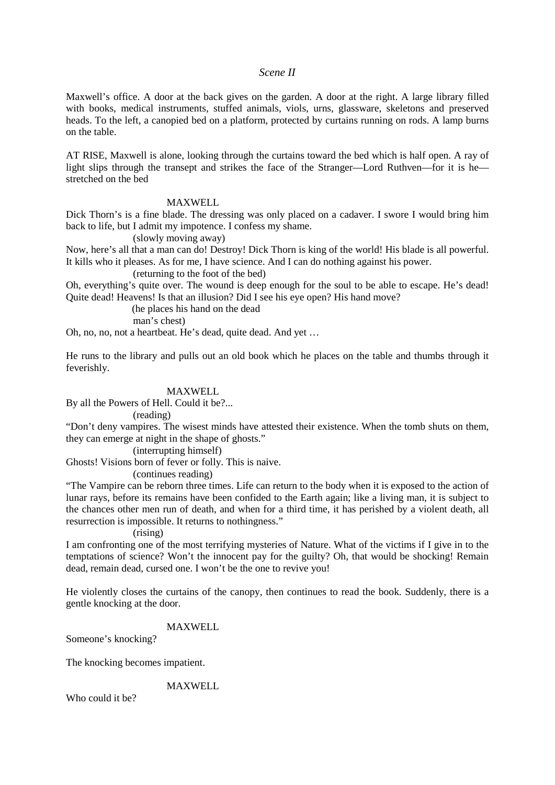## *Scene II*

Maxwell's office. A door at the back gives on the garden. A door at the right. A large library filled with books, medical instruments, stuffed animals, viols, urns, glassware, skeletons and preserved heads. To the left, a canopied bed on a platform, protected by curtains running on rods. A lamp burns on the table.

AT RISE, Maxwell is alone, looking through the curtains toward the bed which is half open. A ray of light slips through the transept and strikes the face of the Stranger—Lord Ruthven—for it is he stretched on the bed

## MAXWELL

Dick Thorn's is a fine blade. The dressing was only placed on a cadaver. I swore I would bring him back to life, but I admit my impotence. I confess my shame.

(slowly moving away)

Now, here's all that a man can do! Destroy! Dick Thorn is king of the world! His blade is all powerful. It kills who it pleases. As for me, I have science. And I can do nothing against his power.

(returning to the foot of the bed)

Oh, everything's quite over. The wound is deep enough for the soul to be able to escape. He's dead! Quite dead! Heavens! Is that an illusion? Did I see his eye open? His hand move?

(he places his hand on the dead

man's chest)

Oh, no, no, not a heartbeat. He's dead, quite dead. And yet …

He runs to the library and pulls out an old book which he places on the table and thumbs through it feverishly.

#### MAXWELL

By all the Powers of Hell. Could it be?...

(reading)

"Don't deny vampires. The wisest minds have attested their existence. When the tomb shuts on them, they can emerge at night in the shape of ghosts."

#### (interrupting himself)

Ghosts! Visions born of fever or folly. This is naive.

(continues reading)

"The Vampire can be reborn three times. Life can return to the body when it is exposed to the action of lunar rays, before its remains have been confided to the Earth again; like a living man, it is subject to the chances other men run of death, and when for a third time, it has perished by a violent death, all resurrection is impossible. It returns to nothingness."

#### (rising)

I am confronting one of the most terrifying mysteries of Nature. What of the victims if I give in to the temptations of science? Won't the innocent pay for the guilty? Oh, that would be shocking! Remain dead, remain dead, cursed one. I won't be the one to revive you!

He violently closes the curtains of the canopy, then continues to read the book. Suddenly, there is a gentle knocking at the door.

# MAXWELL

Someone's knocking?

The knocking becomes impatient.

MAXWELL

Who could it he?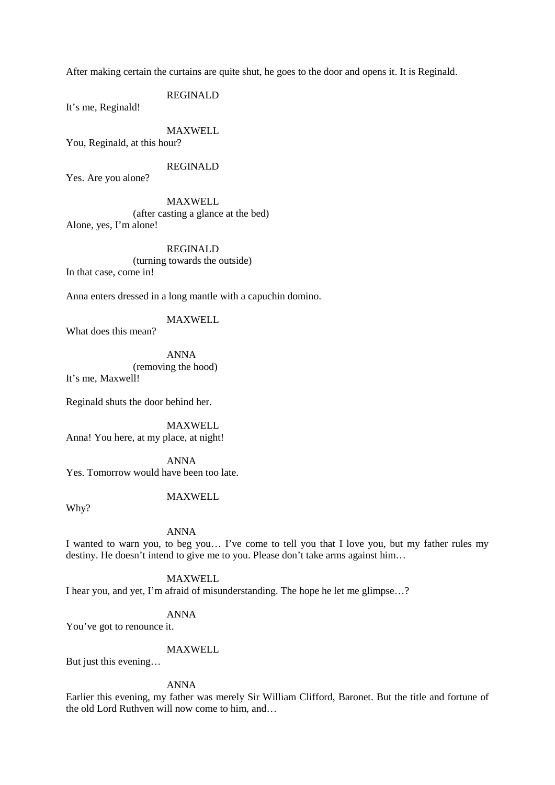After making certain the curtains are quite shut, he goes to the door and opens it. It is Reginald.

REGINALD

It's me, Reginald!

MAXWELL You, Reginald, at this hour?

REGINALD

Yes. Are you alone?

MAXWELL (after casting a glance at the bed) Alone, yes, I'm alone!

REGINALD (turning towards the outside) In that case, come in!

Anna enters dressed in a long mantle with a capuchin domino.

## MAXWELL

What does this mean?

ANNA (removing the hood)

It's me, Maxwell!

Reginald shuts the door behind her.

MAXWELL

Anna! You here, at my place, at night!

ANNA Yes. Tomorrow would have been too late.

# MAXWELL

Why?

# ANNA

I wanted to warn you, to beg you… I've come to tell you that I love you, but my father rules my destiny. He doesn't intend to give me to you. Please don't take arms against him...

# MAXWELL

I hear you, and yet, I'm afraid of misunderstanding. The hope he let me glimpse…?

#### ANNA

You've got to renounce it.

# MAXWELL

But just this evening…

### ANNA

Earlier this evening, my father was merely Sir William Clifford, Baronet. But the title and fortune of the old Lord Ruthven will now come to him, and…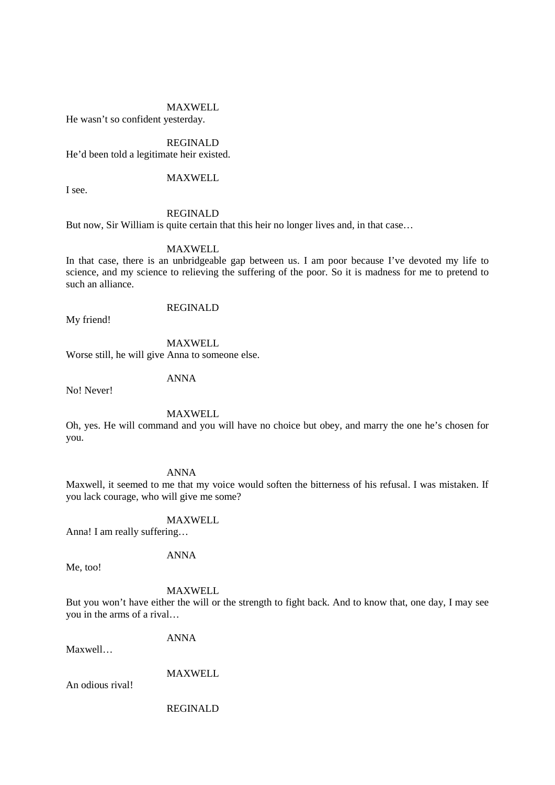#### MAXWELL

He wasn't so confident yesterday.

# REGINALD

He'd been told a legitimate heir existed.

# MAXWELL

I see.

## REGINALD

But now, Sir William is quite certain that this heir no longer lives and, in that case…

### MAXWELL

In that case, there is an unbridgeable gap between us. I am poor because I've devoted my life to science, and my science to relieving the suffering of the poor. So it is madness for me to pretend to such an alliance.

## REGINALD

My friend!

MAXWELL

Worse still, he will give Anna to someone else.

ANNA

No! Never!

# MAXWELL

Oh, yes. He will command and you will have no choice but obey, and marry the one he's chosen for you.

ANNA

Maxwell, it seemed to me that my voice would soften the bitterness of his refusal. I was mistaken. If you lack courage, who will give me some?

MAXWELL

Anna! I am really suffering…

ANNA

#### MAXWELL

But you won't have either the will or the strength to fight back. And to know that, one day, I may see you in the arms of a rival…

Maxwell…

MAXWELL

ANNA

An odious rival!

Me, too!

REGINALD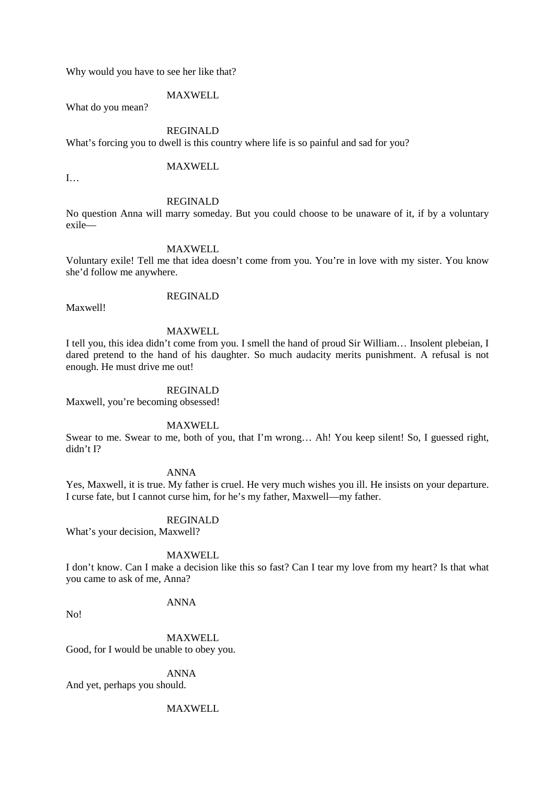Why would you have to see her like that?

MAXWELL

What do you mean?

# REGINALD

What's forcing you to dwell is this country where life is so painful and sad for you?

MAXWELL

I…

#### REGINALD

No question Anna will marry someday. But you could choose to be unaware of it, if by a voluntary exile—

## MAXWELL

Voluntary exile! Tell me that idea doesn't come from you. You're in love with my sister. You know she'd follow me anywhere.

REGINALD

Maxwell!

# MAXWELL

I tell you, this idea didn't come from you. I smell the hand of proud Sir William… Insolent plebeian, I dared pretend to the hand of his daughter. So much audacity merits punishment. A refusal is not enough. He must drive me out!

#### REGINALD

Maxwell, you're becoming obsessed!

## MAXWELL

Swear to me. Swear to me, both of you, that I'm wrong… Ah! You keep silent! So, I guessed right, didn't I?

#### ANNA

Yes, Maxwell, it is true. My father is cruel. He very much wishes you ill. He insists on your departure. I curse fate, but I cannot curse him, for he's my father, Maxwell—my father.

#### REGINALD

What's your decision, Maxwell?

### MAXWELL

I don't know. Can I make a decision like this so fast? Can I tear my love from my heart? Is that what you came to ask of me, Anna?

ANNA

No!

MAXWELL Good, for I would be unable to obey you.

# ANNA

And yet, perhaps you should.

# MAXWELL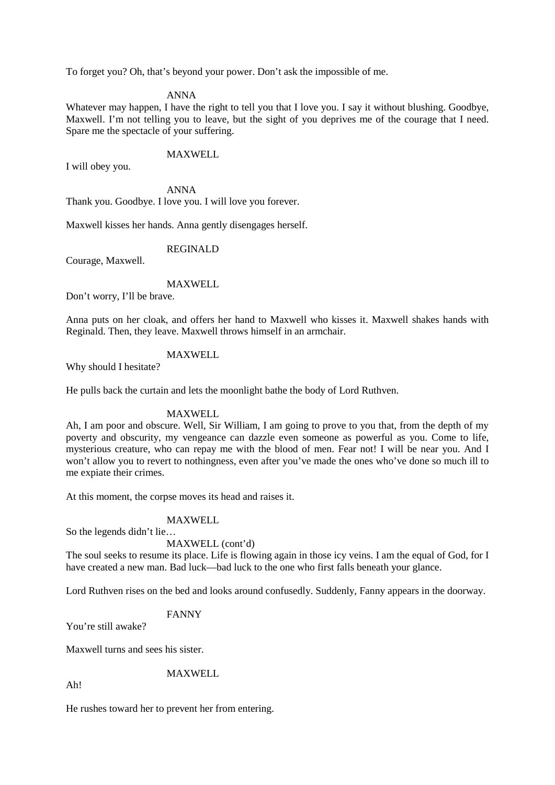To forget you? Oh, that's beyond your power. Don't ask the impossible of me.

### ANNA

Whatever may happen, I have the right to tell you that I love you. I say it without blushing. Goodbye, Maxwell. I'm not telling you to leave, but the sight of you deprives me of the courage that I need. Spare me the spectacle of your suffering.

## MAXWELL

I will obey you.

ANNA Thank you. Goodbye. I love you. I will love you forever.

Maxwell kisses her hands. Anna gently disengages herself.

REGINALD

Courage, Maxwell.

## MAXWELL

Don't worry, I'll be brave.

Anna puts on her cloak, and offers her hand to Maxwell who kisses it. Maxwell shakes hands with Reginald. Then, they leave. Maxwell throws himself in an armchair.

# MAXWELL

Why should I hesitate?

He pulls back the curtain and lets the moonlight bathe the body of Lord Ruthven.

#### MAXWELL

Ah, I am poor and obscure. Well, Sir William, I am going to prove to you that, from the depth of my poverty and obscurity, my vengeance can dazzle even someone as powerful as you. Come to life, mysterious creature, who can repay me with the blood of men. Fear not! I will be near you. And I won't allow you to revert to nothingness, even after you've made the ones who've done so much ill to me expiate their crimes.

At this moment, the corpse moves its head and raises it.

# MAXWELL

So the legends didn't lie…

#### MAXWELL (cont'd)

The soul seeks to resume its place. Life is flowing again in those icy veins. I am the equal of God, for I have created a new man. Bad luck—bad luck to the one who first falls beneath your glance.

Lord Ruthven rises on the bed and looks around confusedly. Suddenly, Fanny appears in the doorway.

#### FANNY

You're still awake?

Maxwell turns and sees his sister.

### MAXWELL

Ah!

He rushes toward her to prevent her from entering.